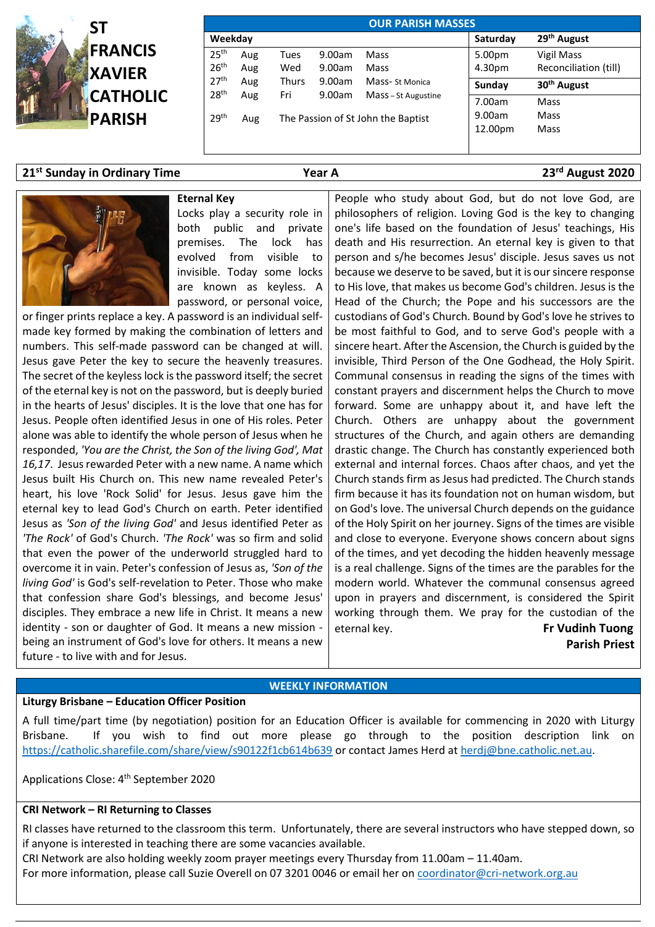

| <b>OUR PARISH MASSES</b> |                                           |       |        |                     |                         |                         |  |  |  |  |  |  |
|--------------------------|-------------------------------------------|-------|--------|---------------------|-------------------------|-------------------------|--|--|--|--|--|--|
| Weekday                  |                                           |       |        | Saturday            | 29 <sup>th</sup> August |                         |  |  |  |  |  |  |
| 25 <sup>th</sup>         | Aug                                       | Tues  | 9.00am | Mass                | 5.00pm                  | Vigil Mass              |  |  |  |  |  |  |
| 26 <sup>th</sup>         | Aug                                       | Wed   | 9.00am | Mass                | 4.30pm                  | Reconciliation (till)   |  |  |  |  |  |  |
| 27 <sup>th</sup>         | Aug                                       | Thurs | 9.00am | Mass-St Monica      | Sunday                  | 30 <sup>th</sup> August |  |  |  |  |  |  |
| 28 <sup>th</sup>         | Aug                                       | Fri   | 9.00am | Mass - St Augustine | 7.00am                  | Mass                    |  |  |  |  |  |  |
| 29 <sup>th</sup>         | The Passion of St John the Baptist<br>Aug |       |        |                     |                         | Mass                    |  |  |  |  |  |  |
|                          |                                           |       |        |                     | 12.00pm                 | Mass                    |  |  |  |  |  |  |
|                          |                                           |       |        |                     |                         |                         |  |  |  |  |  |  |

## **21st Sunday in Ordinary Time Year A 23rd August 2020**



**Eternal Key** Locks play a security role in both public and private premises. The lock has evolved from visible to invisible. Today some locks are known as keyless. A password, or personal voice,

or finger prints replace a key. A password is an individual selfmade key formed by making the combination of letters and numbers. This self-made password can be changed at will. Jesus gave Peter the key to secure the heavenly treasures. The secret of the keyless lock is the password itself; the secret of the eternal key is not on the password, but is deeply buried in the hearts of Jesus' disciples. It is the love that one has for Jesus. People often identified Jesus in one of His roles. Peter alone was able to identify the whole person of Jesus when he responded, *'You are the Christ, the Son of the living God', Mat 16,17*. Jesus rewarded Peter with a new name. A name which Jesus built His Church on. This new name revealed Peter's heart, his love 'Rock Solid' for Jesus. Jesus gave him the eternal key to lead God's Church on earth. Peter identified Jesus as *'Son of the living God'* and Jesus identified Peter as *'The Rock'* of God's Church. *'The Rock'* was so firm and solid that even the power of the underworld struggled hard to overcome it in vain. Peter's confession of Jesus as, *'Son of the living God'* is God's self-revelation to Peter. Those who make that confession share God's blessings, and become Jesus' disciples. They embrace a new life in Christ. It means a new identity - son or daughter of God. It means a new mission being an instrument of God's love for others. It means a new future - to live with and for Jesus.

People who study about God, but do not love God, are philosophers of religion. Loving God is the key to changing one's life based on the foundation of Jesus' teachings, His death and His resurrection. An eternal key is given to that person and s/he becomes Jesus' disciple. Jesus saves us not because we deserve to be saved, but it is our sincere response to His love, that makes us become God's children. Jesus is the Head of the Church; the Pope and his successors are the custodians of God's Church. Bound by God's love he strives to be most faithful to God, and to serve God's people with a sincere heart. After the Ascension, the Church is guided by the invisible, Third Person of the One Godhead, the Holy Spirit. Communal consensus in reading the signs of the times with constant prayers and discernment helps the Church to move forward. Some are unhappy about it, and have left the Church. Others are unhappy about the government structures of the Church, and again others are demanding drastic change. The Church has constantly experienced both external and internal forces. Chaos after chaos, and yet the Church stands firm as Jesus had predicted. The Church stands firm because it has its foundation not on human wisdom, but on God's love. The universal Church depends on the guidance of the Holy Spirit on her journey. Signs of the times are visible and close to everyone. Everyone shows concern about signs of the times, and yet decoding the hidden heavenly message is a real challenge. Signs of the times are the parables for the modern world. Whatever the communal consensus agreed upon in prayers and discernment, is considered the Spirit working through them. We pray for the custodian of the eternal key. **Fr Vudinh Tuong Parish Priest**

## **WEEKLY INFORMATION**

# **Liturgy Brisbane – Education Officer Position**

A full time/part time (by negotiation) position for an Education Officer is available for commencing in 2020 with Liturgy Brisbane. If you wish to find out more please go through to the position description link on <https://catholic.sharefile.com/share/view/s90122f1cb614b639> or contact James Herd a[t herdj@bne.catholic.net.au.](mailto:herdj@bne.catholic.net.au)

Applications Close: 4<sup>th</sup> September 2020

# **CRI Network – RI Returning to Classes**

RI classes have returned to the classroom this term. Unfortunately, there are several instructors who have stepped down, so if anyone is interested in teaching there are some vacancies available.

CRI Network are also holding weekly zoom prayer meetings every Thursday from 11.00am – 11.40am.

For more information, please call Suzie Overell on 07 3201 0046 or email her o[n coordinator@cri-network.org.au](mailto:coordinator@cri-network.org.au)